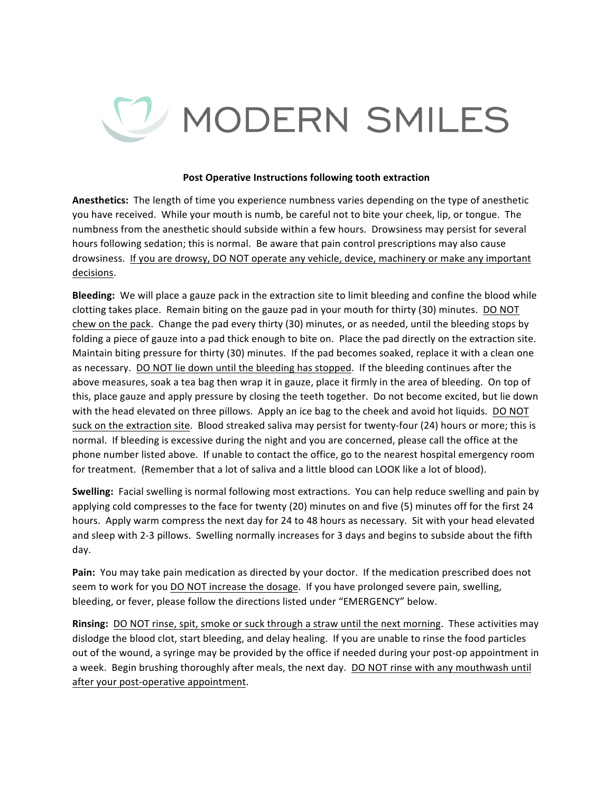## V MODERN SMILES

## **Post Operative Instructions following tooth extraction**

Anesthetics: The length of time you experience numbness varies depending on the type of anesthetic you have received. While your mouth is numb, be careful not to bite your cheek, lip, or tongue. The numbness from the anesthetic should subside within a few hours. Drowsiness may persist for several hours following sedation; this is normal. Be aware that pain control prescriptions may also cause drowsiness. If you are drowsy, DO NOT operate any vehicle, device, machinery or make any important decisions. 

**Bleeding:** We will place a gauze pack in the extraction site to limit bleeding and confine the blood while clotting takes place. Remain biting on the gauze pad in your mouth for thirty (30) minutes. DO NOT chew on the pack. Change the pad every thirty (30) minutes, or as needed, until the bleeding stops by folding a piece of gauze into a pad thick enough to bite on. Place the pad directly on the extraction site. Maintain biting pressure for thirty (30) minutes. If the pad becomes soaked, replace it with a clean one as necessary. DO NOT lie down until the bleeding has stopped. If the bleeding continues after the above measures, soak a tea bag then wrap it in gauze, place it firmly in the area of bleeding. On top of this, place gauze and apply pressure by closing the teeth together. Do not become excited, but lie down with the head elevated on three pillows. Apply an ice bag to the cheek and avoid hot liquids. DO NOT suck on the extraction site. Blood streaked saliva may persist for twenty-four (24) hours or more; this is normal. If bleeding is excessive during the night and you are concerned, please call the office at the phone number listed above. If unable to contact the office, go to the nearest hospital emergency room for treatment. (Remember that a lot of saliva and a little blood can LOOK like a lot of blood).

**Swelling:** Facial swelling is normal following most extractions. You can help reduce swelling and pain by applying cold compresses to the face for twenty (20) minutes on and five (5) minutes off for the first 24 hours. Apply warm compress the next day for 24 to 48 hours as necessary. Sit with your head elevated and sleep with 2-3 pillows. Swelling normally increases for 3 days and begins to subside about the fifth day. 

**Pain:** You may take pain medication as directed by your doctor. If the medication prescribed does not seem to work for you DO NOT increase the dosage. If you have prolonged severe pain, swelling, bleeding, or fever, please follow the directions listed under "EMERGENCY" below.

**Rinsing:** DO NOT rinse, spit, smoke or suck through a straw until the next morning. These activities may dislodge the blood clot, start bleeding, and delay healing. If you are unable to rinse the food particles out of the wound, a syringe may be provided by the office if needed during your post-op appointment in a week. Begin brushing thoroughly after meals, the next day. DO NOT rinse with any mouthwash until after your post-operative appointment.